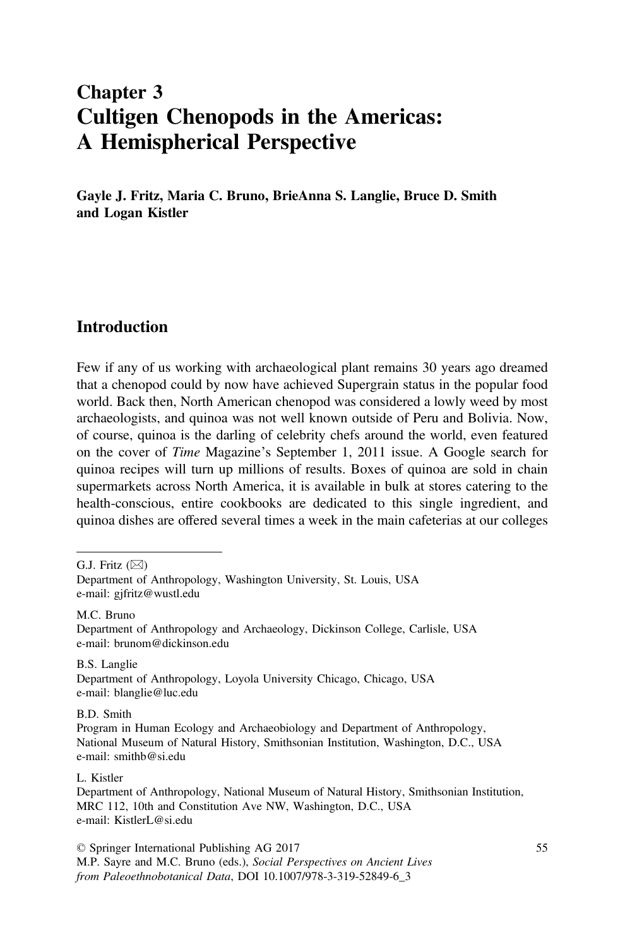# Chapter 3 Cultigen Chenopods in the Americas: A Hemispherical Perspective

Gayle J. Fritz, Maria C. Bruno, BrieAnna S. Langlie, Bruce D. Smith and Logan Kistler

# Introduction

Few if any of us working with archaeological plant remains 30 years ago dreamed that a chenopod could by now have achieved Supergrain status in the popular food world. Back then, North American chenopod was considered a lowly weed by most archaeologists, and quinoa was not well known outside of Peru and Bolivia. Now, of course, quinoa is the darling of celebrity chefs around the world, even featured on the cover of Time Magazine's September 1, 2011 issue. A Google search for quinoa recipes will turn up millions of results. Boxes of quinoa are sold in chain supermarkets across North America, it is available in bulk at stores catering to the health-conscious, entire cookbooks are dedicated to this single ingredient, and quinoa dishes are offered several times a week in the main cafeterias at our colleges

G.J. Fritz  $(\boxtimes)$ 

M.C. Bruno Department of Anthropology and Archaeology, Dickinson College, Carlisle, USA e-mail: brunom@dickinson.edu

B.S. Langlie Department of Anthropology, Loyola University Chicago, Chicago, USA e-mail: blanglie@luc.edu

B.D. Smith

L. Kistler

© Springer International Publishing AG 2017 M.P. Sayre and M.C. Bruno (eds.), Social Perspectives on Ancient Lives from Paleoethnobotanical Data, DOI 10.1007/978-3-319-52849-6\_3

Department of Anthropology, Washington University, St. Louis, USA e-mail: gjfritz@wustl.edu

Program in Human Ecology and Archaeobiology and Department of Anthropology, National Museum of Natural History, Smithsonian Institution, Washington, D.C., USA e-mail: smithb@si.edu

Department of Anthropology, National Museum of Natural History, Smithsonian Institution, MRC 112, 10th and Constitution Ave NW, Washington, D.C., USA e-mail: KistlerL@si.edu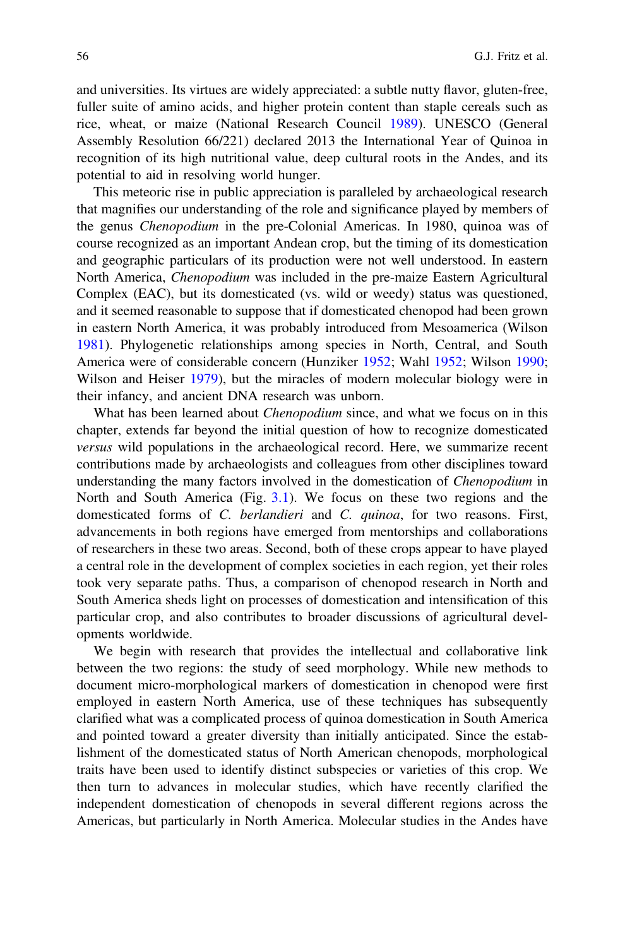and universities. Its virtues are widely appreciated: a subtle nutty flavor, gluten-free, fuller suite of amino acids, and higher protein content than staple cereals such as rice, wheat, or maize (National Research Council [1989](#page-18-0)). UNESCO (General Assembly Resolution 66/221) declared 2013 the International Year of Quinoa in recognition of its high nutritional value, deep cultural roots in the Andes, and its potential to aid in resolving world hunger.

This meteoric rise in public appreciation is paralleled by archaeological research that magnifies our understanding of the role and significance played by members of the genus Chenopodium in the pre-Colonial Americas. In 1980, quinoa was of course recognized as an important Andean crop, but the timing of its domestication and geographic particulars of its production were not well understood. In eastern North America, Chenopodium was included in the pre-maize Eastern Agricultural Complex (EAC), but its domesticated (vs. wild or weedy) status was questioned, and it seemed reasonable to suppose that if domesticated chenopod had been grown in eastern North America, it was probably introduced from Mesoamerica (Wilson [1981\)](#page-20-0). Phylogenetic relationships among species in North, Central, and South America were of considerable concern (Hunziker [1952](#page-17-0); Wahl [1952](#page-20-0); Wilson [1990;](#page-20-0) Wilson and Heiser [1979\)](#page-20-0), but the miracles of modern molecular biology were in their infancy, and ancient DNA research was unborn.

What has been learned about *Chenopodium* since, and what we focus on in this chapter, extends far beyond the initial question of how to recognize domesticated versus wild populations in the archaeological record. Here, we summarize recent contributions made by archaeologists and colleagues from other disciplines toward understanding the many factors involved in the domestication of Chenopodium in North and South America (Fig. [3.1](#page-2-0)). We focus on these two regions and the domesticated forms of C. berlandieri and C. quinoa, for two reasons. First, advancements in both regions have emerged from mentorships and collaborations of researchers in these two areas. Second, both of these crops appear to have played a central role in the development of complex societies in each region, yet their roles took very separate paths. Thus, a comparison of chenopod research in North and South America sheds light on processes of domestication and intensification of this particular crop, and also contributes to broader discussions of agricultural developments worldwide.

We begin with research that provides the intellectual and collaborative link between the two regions: the study of seed morphology. While new methods to document micro-morphological markers of domestication in chenopod were first employed in eastern North America, use of these techniques has subsequently clarified what was a complicated process of quinoa domestication in South America and pointed toward a greater diversity than initially anticipated. Since the establishment of the domesticated status of North American chenopods, morphological traits have been used to identify distinct subspecies or varieties of this crop. We then turn to advances in molecular studies, which have recently clarified the independent domestication of chenopods in several different regions across the Americas, but particularly in North America. Molecular studies in the Andes have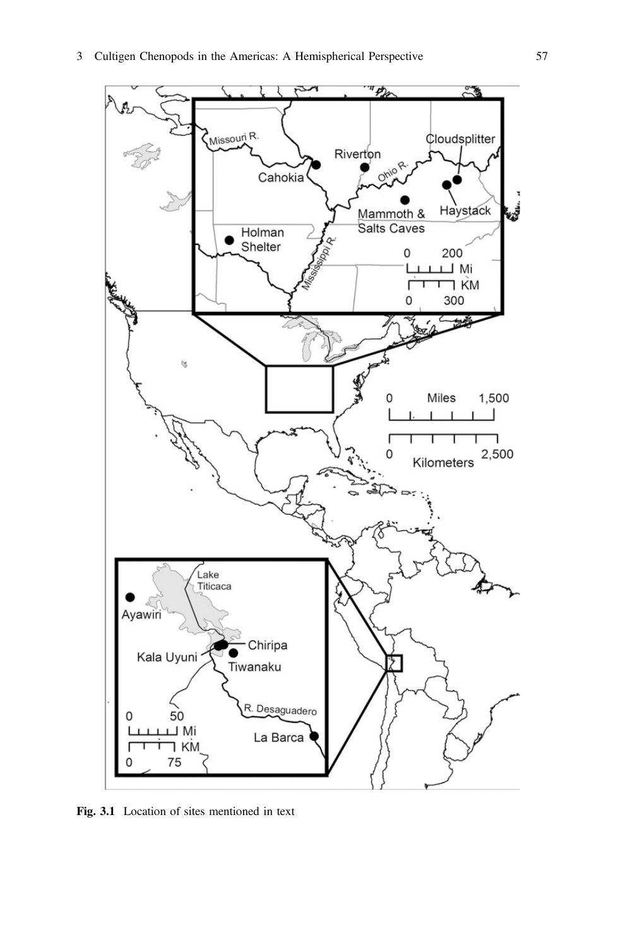<span id="page-2-0"></span>

Fig. 3.1 Location of sites mentioned in text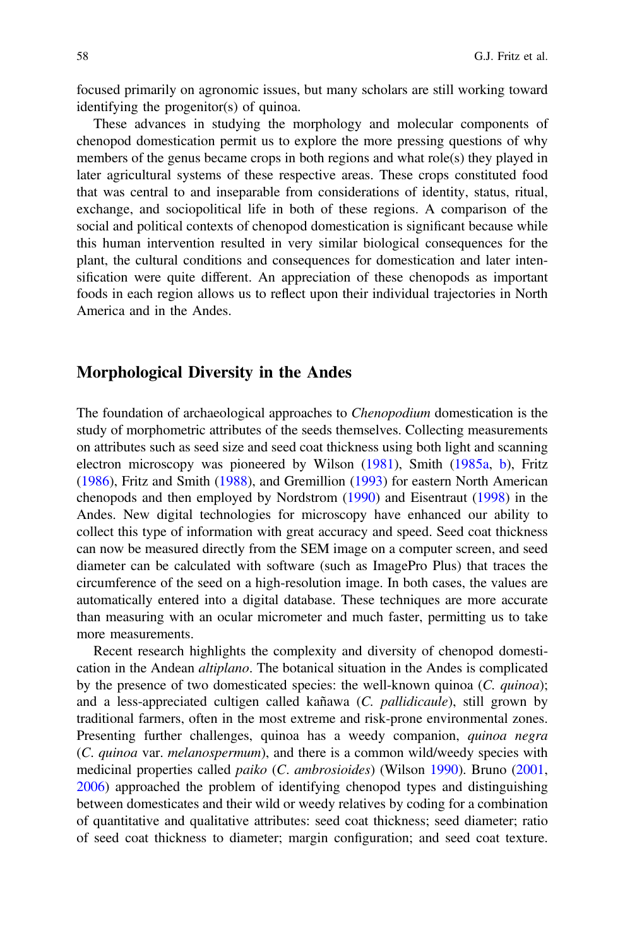focused primarily on agronomic issues, but many scholars are still working toward identifying the progenitor(s) of quinoa.

These advances in studying the morphology and molecular components of chenopod domestication permit us to explore the more pressing questions of why members of the genus became crops in both regions and what role(s) they played in later agricultural systems of these respective areas. These crops constituted food that was central to and inseparable from considerations of identity, status, ritual, exchange, and sociopolitical life in both of these regions. A comparison of the social and political contexts of chenopod domestication is significant because while this human intervention resulted in very similar biological consequences for the plant, the cultural conditions and consequences for domestication and later intensification were quite different. An appreciation of these chenopods as important foods in each region allows us to reflect upon their individual trajectories in North America and in the Andes.

#### Morphological Diversity in the Andes

The foundation of archaeological approaches to Chenopodium domestication is the study of morphometric attributes of the seeds themselves. Collecting measurements on attributes such as seed size and seed coat thickness using both light and scanning electron microscopy was pioneered by Wilson [\(1981](#page-20-0)), Smith ([1985a](#page-19-0), [b](#page-19-0)), Fritz [\(1986](#page-16-0)), Fritz and Smith [\(1988](#page-16-0)), and Gremillion [\(1993](#page-17-0)) for eastern North American chenopods and then employed by Nordstrom [\(1990](#page-18-0)) and Eisentraut ([1998](#page-16-0)) in the Andes. New digital technologies for microscopy have enhanced our ability to collect this type of information with great accuracy and speed. Seed coat thickness can now be measured directly from the SEM image on a computer screen, and seed diameter can be calculated with software (such as ImagePro Plus) that traces the circumference of the seed on a high-resolution image. In both cases, the values are automatically entered into a digital database. These techniques are more accurate than measuring with an ocular micrometer and much faster, permitting us to take more measurements.

Recent research highlights the complexity and diversity of chenopod domestication in the Andean altiplano. The botanical situation in the Andes is complicated by the presence of two domesticated species: the well-known quinoa (C. quinoa); and a less-appreciated cultigen called kañawa (C. pallidicaule), still grown by traditional farmers, often in the most extreme and risk-prone environmental zones. Presenting further challenges, quinoa has a weedy companion, quinoa negra (C. quinoa var. melanospermum), and there is a common wild/weedy species with medicinal properties called paiko (C. ambrosioides) (Wilson [1990](#page-20-0)). Bruno [\(2001](#page-15-0), [2006\)](#page-15-0) approached the problem of identifying chenopod types and distinguishing between domesticates and their wild or weedy relatives by coding for a combination of quantitative and qualitative attributes: seed coat thickness; seed diameter; ratio of seed coat thickness to diameter; margin configuration; and seed coat texture.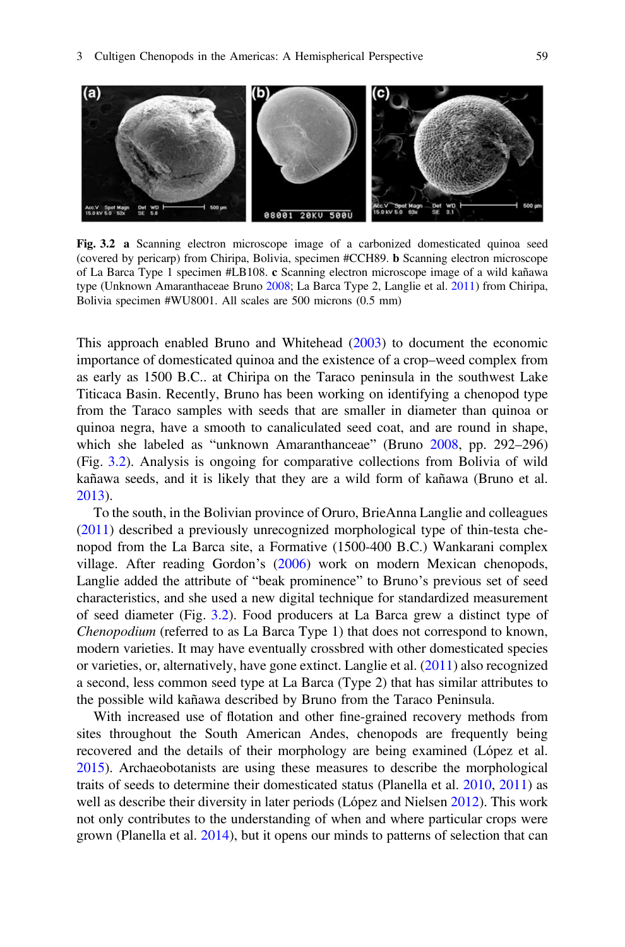

Fig. 3.2 a Scanning electron microscope image of a carbonized domesticated quinoa seed (covered by pericarp) from Chiripa, Bolivia, specimen #CCH89. b Scanning electron microscope of La Barca Type 1 specimen #LB108. c Scanning electron microscope image of a wild kañawa type (Unknown Amaranthaceae Bruno [2008](#page-15-0); La Barca Type 2, Langlie et al. [2011](#page-18-0)) from Chiripa, Bolivia specimen #WU8001. All scales are 500 microns (0.5 mm)

This approach enabled Bruno and Whitehead [\(2003](#page-15-0)) to document the economic importance of domesticated quinoa and the existence of a crop–weed complex from as early as 1500 B.C.. at Chiripa on the Taraco peninsula in the southwest Lake Titicaca Basin. Recently, Bruno has been working on identifying a chenopod type from the Taraco samples with seeds that are smaller in diameter than quinoa or quinoa negra, have a smooth to canaliculated seed coat, and are round in shape, which she labeled as "unknown Amaranthanceae" (Bruno [2008,](#page-15-0) pp. 292–296) (Fig. 3.2). Analysis is ongoing for comparative collections from Bolivia of wild kañawa seeds, and it is likely that they are a wild form of kañawa (Bruno et al. [2013\)](#page-15-0).

To the south, in the Bolivian province of Oruro, BrieAnna Langlie and colleagues [\(2011](#page-18-0)) described a previously unrecognized morphological type of thin-testa chenopod from the La Barca site, a Formative (1500-400 B.C.) Wankarani complex village. After reading Gordon's [\(2006](#page-17-0)) work on modern Mexican chenopods, Langlie added the attribute of "beak prominence" to Bruno's previous set of seed characteristics, and she used a new digital technique for standardized measurement of seed diameter (Fig. 3.2). Food producers at La Barca grew a distinct type of Chenopodium (referred to as La Barca Type 1) that does not correspond to known, modern varieties. It may have eventually crossbred with other domesticated species or varieties, or, alternatively, have gone extinct. Langlie et al. ([2011\)](#page-18-0) also recognized a second, less common seed type at La Barca (Type 2) that has similar attributes to the possible wild kañawa described by Bruno from the Taraco Peninsula.

With increased use of flotation and other fine-grained recovery methods from sites throughout the South American Andes, chenopods are frequently being recovered and the details of their morphology are being examined (López et al. [2015\)](#page-18-0). Archaeobotanists are using these measures to describe the morphological traits of seeds to determine their domesticated status (Planella et al. [2010,](#page-19-0) [2011](#page-19-0)) as well as describe their diversity in later periods (López and Nielsen [2012](#page-18-0)). This work not only contributes to the understanding of when and where particular crops were grown (Planella et al. [2014](#page-19-0)), but it opens our minds to patterns of selection that can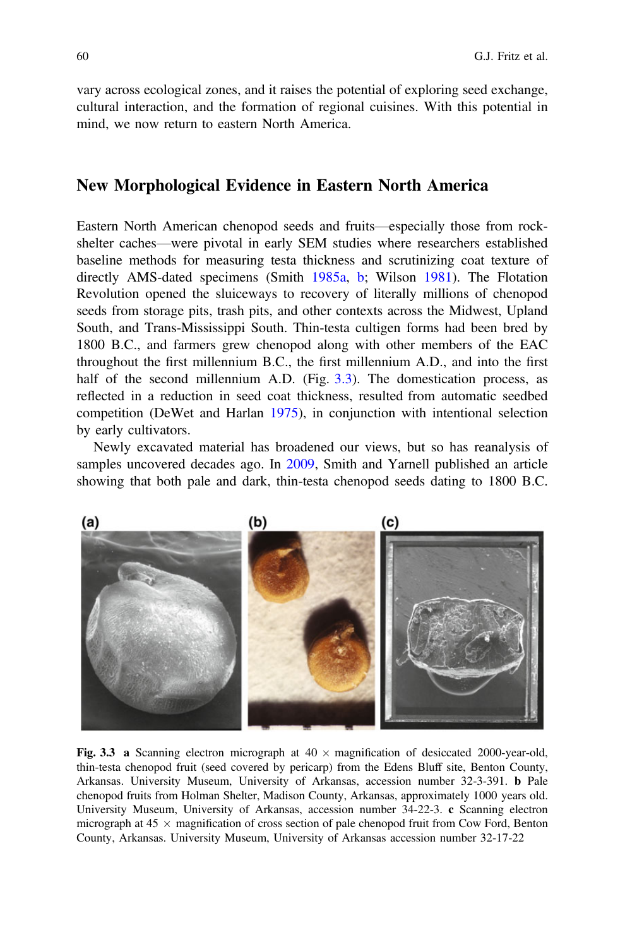vary across ecological zones, and it raises the potential of exploring seed exchange, cultural interaction, and the formation of regional cuisines. With this potential in mind, we now return to eastern North America.

## New Morphological Evidence in Eastern North America

Eastern North American chenopod seeds and fruits—especially those from rockshelter caches—were pivotal in early SEM studies where researchers established baseline methods for measuring testa thickness and scrutinizing coat texture of directly AMS-dated specimens (Smith [1985a,](#page-19-0) [b](#page-19-0); Wilson [1981](#page-20-0)). The Flotation Revolution opened the sluiceways to recovery of literally millions of chenopod seeds from storage pits, trash pits, and other contexts across the Midwest, Upland South, and Trans-Mississippi South. Thin-testa cultigen forms had been bred by 1800 B.C., and farmers grew chenopod along with other members of the EAC throughout the first millennium B.C., the first millennium A.D., and into the first half of the second millennium A.D. (Fig.  $3.3$ ). The domestication process, as reflected in a reduction in seed coat thickness, resulted from automatic seedbed competition (DeWet and Harlan [1975\)](#page-16-0), in conjunction with intentional selection by early cultivators.

Newly excavated material has broadened our views, but so has reanalysis of samples uncovered decades ago. In [2009](#page-20-0), Smith and Yarnell published an article showing that both pale and dark, thin-testa chenopod seeds dating to 1800 B.C.



Fig. 3.3 a Scanning electron micrograph at  $40 \times$  magnification of desiccated 2000-year-old, thin-testa chenopod fruit (seed covered by pericarp) from the Edens Bluff site, Benton County, Arkansas. University Museum, University of Arkansas, accession number 32-3-391. b Pale chenopod fruits from Holman Shelter, Madison County, Arkansas, approximately 1000 years old. University Museum, University of Arkansas, accession number 34-22-3. c Scanning electron micrograph at  $45 \times$  magnification of cross section of pale chenopod fruit from Cow Ford, Benton County, Arkansas. University Museum, University of Arkansas accession number 32-17-22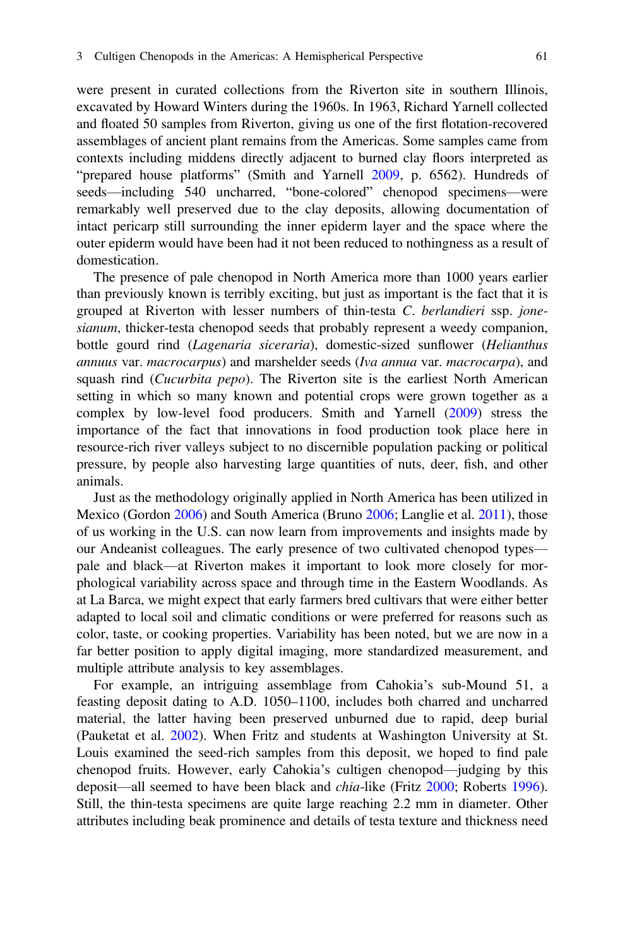were present in curated collections from the Riverton site in southern Illinois, excavated by Howard Winters during the 1960s. In 1963, Richard Yarnell collected and floated 50 samples from Riverton, giving us one of the first flotation-recovered assemblages of ancient plant remains from the Americas. Some samples came from contexts including middens directly adjacent to burned clay floors interpreted as "prepared house platforms" (Smith and Yarnell [2009](#page-20-0), p. 6562). Hundreds of seeds—including 540 uncharred, "bone-colored" chenopod specimens—were remarkably well preserved due to the clay deposits, allowing documentation of intact pericarp still surrounding the inner epiderm layer and the space where the outer epiderm would have been had it not been reduced to nothingness as a result of domestication.

The presence of pale chenopod in North America more than 1000 years earlier than previously known is terribly exciting, but just as important is the fact that it is grouped at Riverton with lesser numbers of thin-testa  $C$ . *berlandieri* ssp. *jone*sianum, thicker-testa chenopod seeds that probably represent a weedy companion, bottle gourd rind (Lagenaria siceraria), domestic-sized sunflower (Helianthus annuus var. macrocarpus) and marshelder seeds (Iva annua var. macrocarpa), and squash rind (*Cucurbita pepo*). The Riverton site is the earliest North American setting in which so many known and potential crops were grown together as a complex by low-level food producers. Smith and Yarnell ([2009\)](#page-20-0) stress the importance of the fact that innovations in food production took place here in resource-rich river valleys subject to no discernible population packing or political pressure, by people also harvesting large quantities of nuts, deer, fish, and other animals.

Just as the methodology originally applied in North America has been utilized in Mexico (Gordon [2006\)](#page-17-0) and South America (Bruno [2006](#page-15-0); Langlie et al. [2011](#page-18-0)), those of us working in the U.S. can now learn from improvements and insights made by our Andeanist colleagues. The early presence of two cultivated chenopod types pale and black—at Riverton makes it important to look more closely for morphological variability across space and through time in the Eastern Woodlands. As at La Barca, we might expect that early farmers bred cultivars that were either better adapted to local soil and climatic conditions or were preferred for reasons such as color, taste, or cooking properties. Variability has been noted, but we are now in a far better position to apply digital imaging, more standardized measurement, and multiple attribute analysis to key assemblages.

For example, an intriguing assemblage from Cahokia's sub-Mound 51, a feasting deposit dating to A.D. 1050–1100, includes both charred and uncharred material, the latter having been preserved unburned due to rapid, deep burial (Pauketat et al. [2002\)](#page-18-0). When Fritz and students at Washington University at St. Louis examined the seed-rich samples from this deposit, we hoped to find pale chenopod fruits. However, early Cahokia's cultigen chenopod—judging by this deposit—all seemed to have been black and chia-like (Fritz [2000;](#page-16-0) Roberts [1996\)](#page-19-0). Still, the thin-testa specimens are quite large reaching 2.2 mm in diameter. Other attributes including beak prominence and details of testa texture and thickness need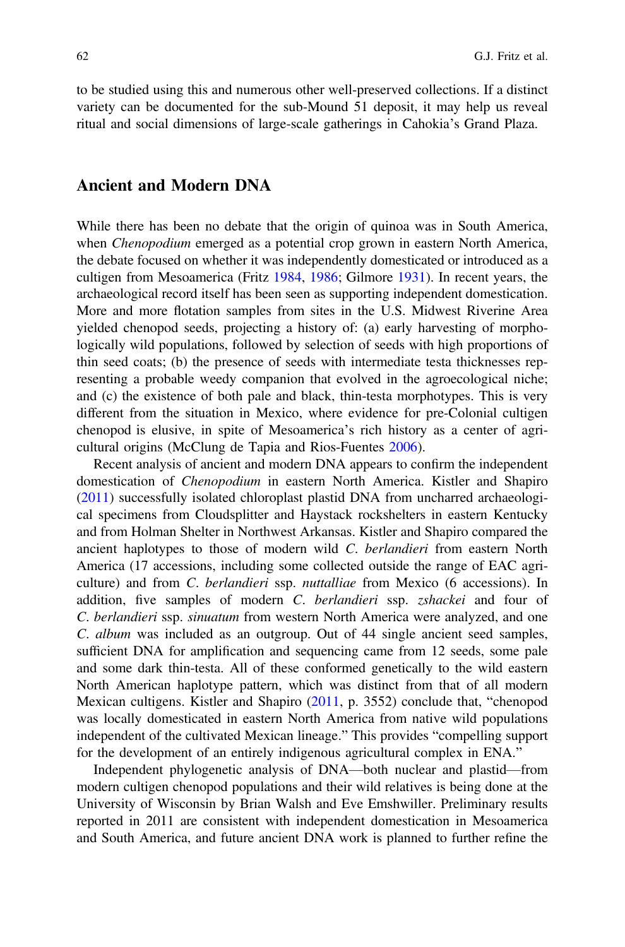to be studied using this and numerous other well-preserved collections. If a distinct variety can be documented for the sub-Mound 51 deposit, it may help us reveal ritual and social dimensions of large-scale gatherings in Cahokia's Grand Plaza.

# Ancient and Modern DNA

While there has been no debate that the origin of quinoa was in South America, when *Chenopodium* emerged as a potential crop grown in eastern North America, the debate focused on whether it was independently domesticated or introduced as a cultigen from Mesoamerica (Fritz [1984](#page-16-0), [1986;](#page-16-0) Gilmore [1931\)](#page-17-0). In recent years, the archaeological record itself has been seen as supporting independent domestication. More and more flotation samples from sites in the U.S. Midwest Riverine Area yielded chenopod seeds, projecting a history of: (a) early harvesting of morphologically wild populations, followed by selection of seeds with high proportions of thin seed coats; (b) the presence of seeds with intermediate testa thicknesses representing a probable weedy companion that evolved in the agroecological niche; and (c) the existence of both pale and black, thin-testa morphotypes. This is very different from the situation in Mexico, where evidence for pre-Colonial cultigen chenopod is elusive, in spite of Mesoamerica's rich history as a center of agricultural origins (McClung de Tapia and Rios-Fuentes [2006\)](#page-18-0).

Recent analysis of ancient and modern DNA appears to confirm the independent domestication of Chenopodium in eastern North America. Kistler and Shapiro [\(2011](#page-17-0)) successfully isolated chloroplast plastid DNA from uncharred archaeological specimens from Cloudsplitter and Haystack rockshelters in eastern Kentucky and from Holman Shelter in Northwest Arkansas. Kistler and Shapiro compared the ancient haplotypes to those of modern wild C. berlandieri from eastern North America (17 accessions, including some collected outside the range of EAC agriculture) and from C. berlandieri ssp. nuttalliae from Mexico (6 accessions). In addition, five samples of modern C. berlandieri ssp. zshackei and four of C. berlandieri ssp. sinuatum from western North America were analyzed, and one C. album was included as an outgroup. Out of 44 single ancient seed samples, sufficient DNA for amplification and sequencing came from 12 seeds, some pale and some dark thin-testa. All of these conformed genetically to the wild eastern North American haplotype pattern, which was distinct from that of all modern Mexican cultigens. Kistler and Shapiro ([2011,](#page-17-0) p. 3552) conclude that, "chenopod was locally domesticated in eastern North America from native wild populations independent of the cultivated Mexican lineage." This provides "compelling support for the development of an entirely indigenous agricultural complex in ENA."

Independent phylogenetic analysis of DNA—both nuclear and plastid—from modern cultigen chenopod populations and their wild relatives is being done at the University of Wisconsin by Brian Walsh and Eve Emshwiller. Preliminary results reported in 2011 are consistent with independent domestication in Mesoamerica and South America, and future ancient DNA work is planned to further refine the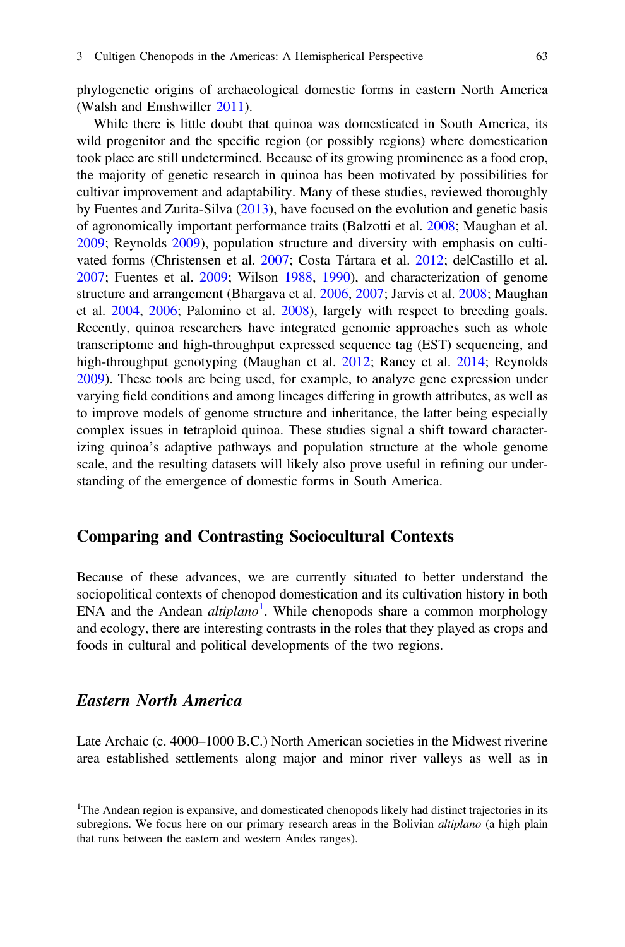phylogenetic origins of archaeological domestic forms in eastern North America (Walsh and Emshwiller [2011](#page-20-0)).

While there is little doubt that quinoa was domesticated in South America, its wild progenitor and the specific region (or possibly regions) where domestication took place are still undetermined. Because of its growing prominence as a food crop, the majority of genetic research in quinoa has been motivated by possibilities for cultivar improvement and adaptability. Many of these studies, reviewed thoroughly by Fuentes and Zurita-Silva [\(2013](#page-16-0)), have focused on the evolution and genetic basis of agronomically important performance traits (Balzotti et al. [2008](#page-15-0); Maughan et al. [2009;](#page-18-0) Reynolds [2009](#page-19-0)), population structure and diversity with emphasis on cultivated forms (Christensen et al. [2007](#page-16-0); Costa Tártara et al. [2012](#page-16-0); delCastillo et al. [2007;](#page-16-0) Fuentes et al. [2009](#page-16-0); Wilson [1988,](#page-20-0) [1990\)](#page-20-0), and characterization of genome structure and arrangement (Bhargava et al. [2006](#page-15-0), [2007](#page-15-0); Jarvis et al. [2008;](#page-17-0) Maughan et al. [2004](#page-18-0), [2006;](#page-18-0) Palomino et al. [2008\)](#page-18-0), largely with respect to breeding goals. Recently, quinoa researchers have integrated genomic approaches such as whole transcriptome and high-throughput expressed sequence tag (EST) sequencing, and high-throughput genotyping (Maughan et al. [2012;](#page-18-0) Raney et al. [2014](#page-19-0); Reynolds [2009\)](#page-19-0). These tools are being used, for example, to analyze gene expression under varying field conditions and among lineages differing in growth attributes, as well as to improve models of genome structure and inheritance, the latter being especially complex issues in tetraploid quinoa. These studies signal a shift toward characterizing quinoa's adaptive pathways and population structure at the whole genome scale, and the resulting datasets will likely also prove useful in refining our understanding of the emergence of domestic forms in South America.

### Comparing and Contrasting Sociocultural Contexts

Because of these advances, we are currently situated to better understand the sociopolitical contexts of chenopod domestication and its cultivation history in both ENA and the Andean  $altiplano<sup>1</sup>$ . While chenopods share a common morphology and ecology, there are interesting contrasts in the roles that they played as crops and foods in cultural and political developments of the two regions.

### Eastern North America

Late Archaic (c. 4000–1000 B.C.) North American societies in the Midwest riverine area established settlements along major and minor river valleys as well as in

<sup>&</sup>lt;sup>1</sup>The Andean region is expansive, and domesticated chenopods likely had distinct trajectories in its subregions. We focus here on our primary research areas in the Bolivian altiplano (a high plain that runs between the eastern and western Andes ranges).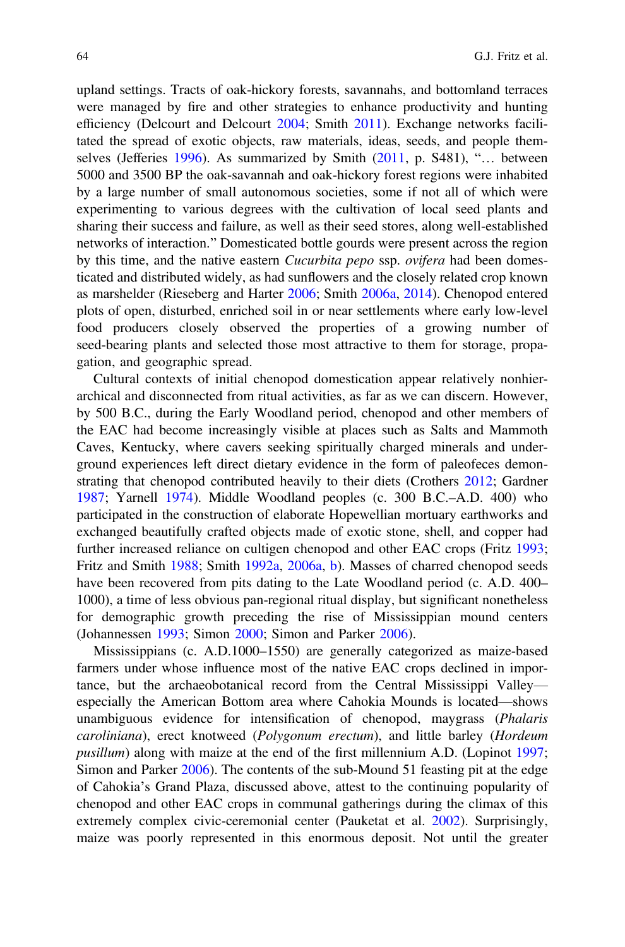upland settings. Tracts of oak-hickory forests, savannahs, and bottomland terraces were managed by fire and other strategies to enhance productivity and hunting efficiency (Delcourt and Delcourt [2004;](#page-16-0) Smith [2011](#page-20-0)). Exchange networks facilitated the spread of exotic objects, raw materials, ideas, seeds, and people themselves (Jefferies [1996](#page-17-0)). As summarized by Smith [\(2011](#page-20-0), p. S481), "… between 5000 and 3500 BP the oak-savannah and oak-hickory forest regions were inhabited by a large number of small autonomous societies, some if not all of which were experimenting to various degrees with the cultivation of local seed plants and sharing their success and failure, as well as their seed stores, along well-established networks of interaction." Domesticated bottle gourds were present across the region by this time, and the native eastern *Cucurbita pepo* ssp. *ovifera* had been domesticated and distributed widely, as had sunflowers and the closely related crop known as marshelder (Rieseberg and Harter [2006](#page-19-0); Smith [2006a,](#page-19-0) [2014](#page-20-0)). Chenopod entered plots of open, disturbed, enriched soil in or near settlements where early low-level food producers closely observed the properties of a growing number of seed-bearing plants and selected those most attractive to them for storage, propagation, and geographic spread.

Cultural contexts of initial chenopod domestication appear relatively nonhierarchical and disconnected from ritual activities, as far as we can discern. However, by 500 B.C., during the Early Woodland period, chenopod and other members of the EAC had become increasingly visible at places such as Salts and Mammoth Caves, Kentucky, where cavers seeking spiritually charged minerals and underground experiences left direct dietary evidence in the form of paleofeces demonstrating that chenopod contributed heavily to their diets (Crothers [2012;](#page-16-0) Gardner [1987;](#page-17-0) Yarnell [1974](#page-20-0)). Middle Woodland peoples (c. 300 B.C.–A.D. 400) who participated in the construction of elaborate Hopewellian mortuary earthworks and exchanged beautifully crafted objects made of exotic stone, shell, and copper had further increased reliance on cultigen chenopod and other EAC crops (Fritz [1993;](#page-16-0) Fritz and Smith [1988;](#page-16-0) Smith [1992a,](#page-19-0) [2006a,](#page-19-0) [b](#page-20-0)). Masses of charred chenopod seeds have been recovered from pits dating to the Late Woodland period (c. A.D. 400– 1000), a time of less obvious pan-regional ritual display, but significant nonetheless for demographic growth preceding the rise of Mississippian mound centers (Johannessen [1993;](#page-17-0) Simon [2000](#page-19-0); Simon and Parker [2006](#page-19-0)).

Mississippians (c. A.D.1000–1550) are generally categorized as maize-based farmers under whose influence most of the native EAC crops declined in importance, but the archaeobotanical record from the Central Mississippi Valley especially the American Bottom area where Cahokia Mounds is located—shows unambiguous evidence for intensification of chenopod, maygrass (Phalaris caroliniana), erect knotweed (Polygonum erectum), and little barley (Hordeum pusillum) along with maize at the end of the first millennium A.D. (Lopinot [1997;](#page-18-0) Simon and Parker [2006\)](#page-19-0). The contents of the sub-Mound 51 feasting pit at the edge of Cahokia's Grand Plaza, discussed above, attest to the continuing popularity of chenopod and other EAC crops in communal gatherings during the climax of this extremely complex civic-ceremonial center (Pauketat et al. [2002\)](#page-18-0). Surprisingly, maize was poorly represented in this enormous deposit. Not until the greater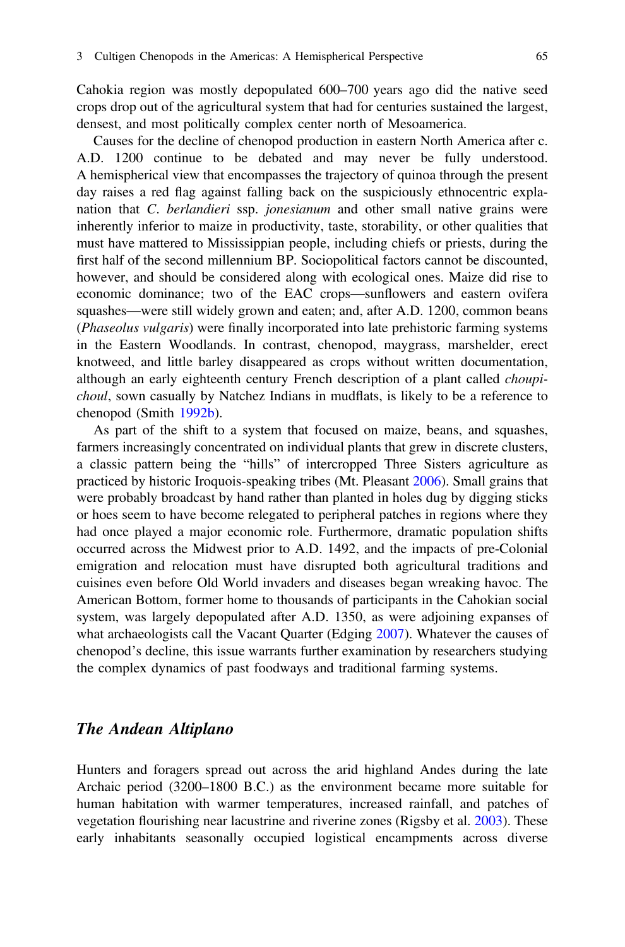Cahokia region was mostly depopulated 600–700 years ago did the native seed crops drop out of the agricultural system that had for centuries sustained the largest, densest, and most politically complex center north of Mesoamerica.

Causes for the decline of chenopod production in eastern North America after c. A.D. 1200 continue to be debated and may never be fully understood. A hemispherical view that encompasses the trajectory of quinoa through the present day raises a red flag against falling back on the suspiciously ethnocentric explanation that C. berlandieri ssp. jonesianum and other small native grains were inherently inferior to maize in productivity, taste, storability, or other qualities that must have mattered to Mississippian people, including chiefs or priests, during the first half of the second millennium BP. Sociopolitical factors cannot be discounted, however, and should be considered along with ecological ones. Maize did rise to economic dominance; two of the EAC crops—sunflowers and eastern ovifera squashes—were still widely grown and eaten; and, after A.D. 1200, common beans (Phaseolus vulgaris) were finally incorporated into late prehistoric farming systems in the Eastern Woodlands. In contrast, chenopod, maygrass, marshelder, erect knotweed, and little barley disappeared as crops without written documentation, although an early eighteenth century French description of a plant called choupichoul, sown casually by Natchez Indians in mudflats, is likely to be a reference to chenopod (Smith [1992b\)](#page-19-0).

As part of the shift to a system that focused on maize, beans, and squashes, farmers increasingly concentrated on individual plants that grew in discrete clusters, a classic pattern being the "hills" of intercropped Three Sisters agriculture as practiced by historic Iroquois-speaking tribes (Mt. Pleasant [2006](#page-18-0)). Small grains that were probably broadcast by hand rather than planted in holes dug by digging sticks or hoes seem to have become relegated to peripheral patches in regions where they had once played a major economic role. Furthermore, dramatic population shifts occurred across the Midwest prior to A.D. 1492, and the impacts of pre-Colonial emigration and relocation must have disrupted both agricultural traditions and cuisines even before Old World invaders and diseases began wreaking havoc. The American Bottom, former home to thousands of participants in the Cahokian social system, was largely depopulated after A.D. 1350, as were adjoining expanses of what archaeologists call the Vacant Quarter (Edging [2007\)](#page-16-0). Whatever the causes of chenopod's decline, this issue warrants further examination by researchers studying the complex dynamics of past foodways and traditional farming systems.

#### The Andean Altiplano

Hunters and foragers spread out across the arid highland Andes during the late Archaic period (3200–1800 B.C.) as the environment became more suitable for human habitation with warmer temperatures, increased rainfall, and patches of vegetation flourishing near lacustrine and riverine zones (Rigsby et al. [2003\)](#page-19-0). These early inhabitants seasonally occupied logistical encampments across diverse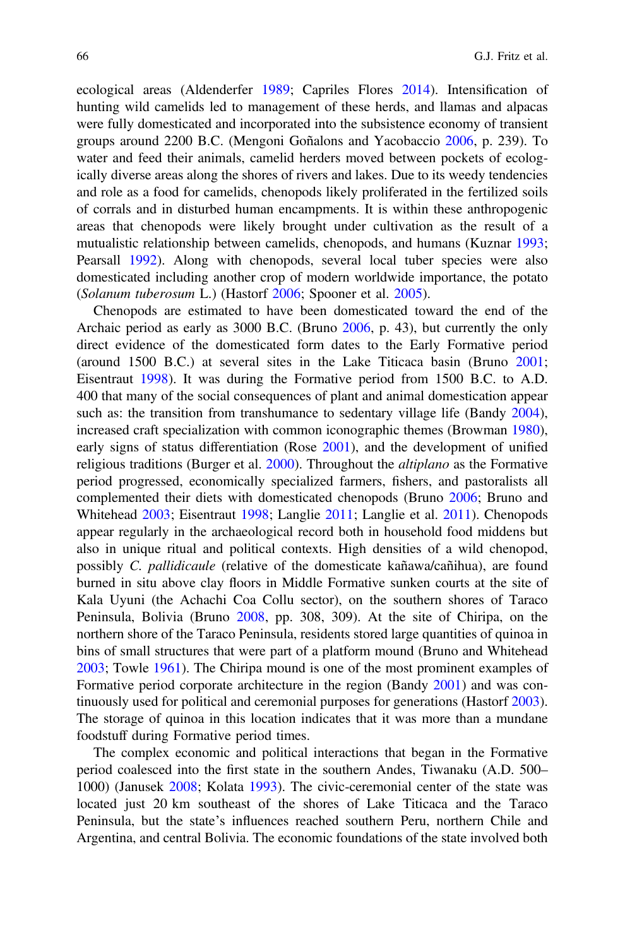ecological areas (Aldenderfer [1989;](#page-15-0) Capriles Flores [2014\)](#page-15-0). Intensification of hunting wild camelids led to management of these herds, and llamas and alpacas were fully domesticated and incorporated into the subsistence economy of transient groups around 2200 B.C. (Mengoni Goñalons and Yacobaccio [2006](#page-18-0), p. 239). To water and feed their animals, camelid herders moved between pockets of ecologically diverse areas along the shores of rivers and lakes. Due to its weedy tendencies and role as a food for camelids, chenopods likely proliferated in the fertilized soils of corrals and in disturbed human encampments. It is within these anthropogenic areas that chenopods were likely brought under cultivation as the result of a mutualistic relationship between camelids, chenopods, and humans (Kuznar [1993;](#page-17-0) Pearsall [1992\)](#page-19-0). Along with chenopods, several local tuber species were also domesticated including another crop of modern worldwide importance, the potato (Solanum tuberosum L.) (Hastorf [2006;](#page-17-0) Spooner et al. [2005](#page-20-0)).

Chenopods are estimated to have been domesticated toward the end of the Archaic period as early as 3000 B.C. (Bruno [2006,](#page-15-0) p. 43), but currently the only direct evidence of the domesticated form dates to the Early Formative period (around 1500 B.C.) at several sites in the Lake Titicaca basin (Bruno [2001;](#page-15-0) Eisentraut [1998](#page-16-0)). It was during the Formative period from 1500 B.C. to A.D. 400 that many of the social consequences of plant and animal domestication appear such as: the transition from transhumance to sedentary village life (Bandy [2004\)](#page-15-0), increased craft specialization with common iconographic themes (Browman [1980\)](#page-15-0), early signs of status differentiation (Rose [2001\)](#page-19-0), and the development of unified religious traditions (Burger et al. [2000](#page-15-0)). Throughout the altiplano as the Formative period progressed, economically specialized farmers, fishers, and pastoralists all complemented their diets with domesticated chenopods (Bruno [2006;](#page-15-0) Bruno and Whitehead [2003](#page-15-0); Eisentraut [1998](#page-16-0); Langlie [2011;](#page-17-0) Langlie et al. [2011\)](#page-18-0). Chenopods appear regularly in the archaeological record both in household food middens but also in unique ritual and political contexts. High densities of a wild chenopod, possibly C. pallidicaule (relative of the domesticate kañawa/cañihua), are found burned in situ above clay floors in Middle Formative sunken courts at the site of Kala Uyuni (the Achachi Coa Collu sector), on the southern shores of Taraco Peninsula, Bolivia (Bruno [2008](#page-15-0), pp. 308, 309). At the site of Chiripa, on the northern shore of the Taraco Peninsula, residents stored large quantities of quinoa in bins of small structures that were part of a platform mound (Bruno and Whitehead [2003;](#page-15-0) Towle [1961\)](#page-20-0). The Chiripa mound is one of the most prominent examples of Formative period corporate architecture in the region (Bandy [2001\)](#page-15-0) and was continuously used for political and ceremonial purposes for generations (Hastorf [2003\)](#page-17-0). The storage of quinoa in this location indicates that it was more than a mundane foodstuff during Formative period times.

The complex economic and political interactions that began in the Formative period coalesced into the first state in the southern Andes, Tiwanaku (A.D. 500– 1000) (Janusek [2008;](#page-17-0) Kolata [1993](#page-17-0)). The civic-ceremonial center of the state was located just 20 km southeast of the shores of Lake Titicaca and the Taraco Peninsula, but the state's influences reached southern Peru, northern Chile and Argentina, and central Bolivia. The economic foundations of the state involved both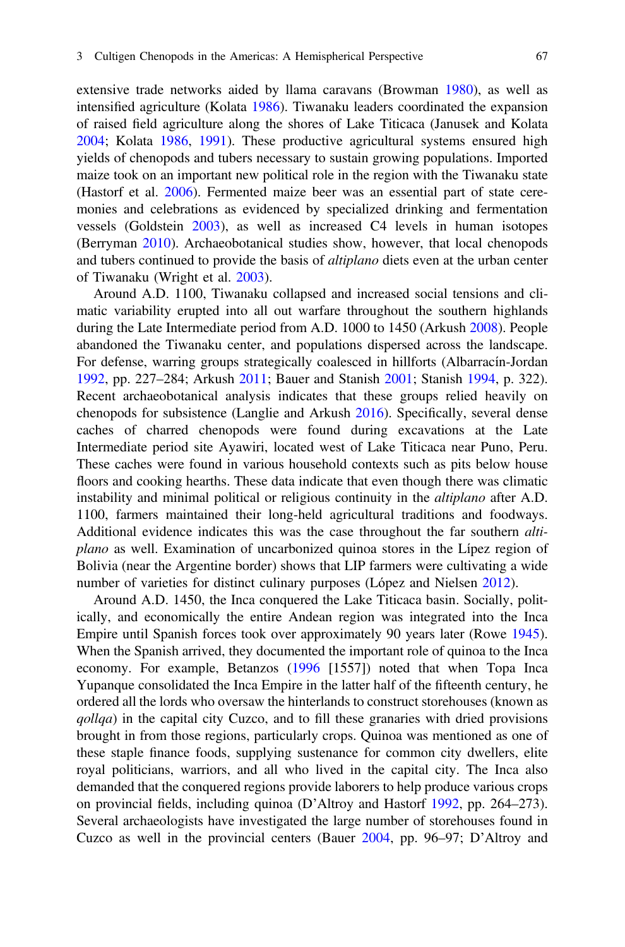extensive trade networks aided by llama caravans (Browman [1980\)](#page-15-0), as well as intensified agriculture (Kolata [1986\)](#page-17-0). Tiwanaku leaders coordinated the expansion of raised field agriculture along the shores of Lake Titicaca (Janusek and Kolata [2004;](#page-17-0) Kolata [1986](#page-17-0), [1991\)](#page-17-0). These productive agricultural systems ensured high yields of chenopods and tubers necessary to sustain growing populations. Imported maize took on an important new political role in the region with the Tiwanaku state (Hastorf et al. [2006\)](#page-17-0). Fermented maize beer was an essential part of state ceremonies and celebrations as evidenced by specialized drinking and fermentation vessels (Goldstein [2003](#page-17-0)), as well as increased C4 levels in human isotopes (Berryman [2010](#page-15-0)). Archaeobotanical studies show, however, that local chenopods and tubers continued to provide the basis of altiplano diets even at the urban center of Tiwanaku (Wright et al. [2003](#page-20-0)).

Around A.D. 1100, Tiwanaku collapsed and increased social tensions and climatic variability erupted into all out warfare throughout the southern highlands during the Late Intermediate period from A.D. 1000 to 1450 (Arkush [2008](#page-15-0)). People abandoned the Tiwanaku center, and populations dispersed across the landscape. For defense, warring groups strategically coalesced in hillforts (Albarracín-Jordan [1992,](#page-15-0) pp. 227–284; Arkush [2011](#page-15-0); Bauer and Stanish [2001](#page-15-0); Stanish [1994,](#page-20-0) p. 322). Recent archaeobotanical analysis indicates that these groups relied heavily on chenopods for subsistence (Langlie and Arkush [2016](#page-17-0)). Specifically, several dense caches of charred chenopods were found during excavations at the Late Intermediate period site Ayawiri, located west of Lake Titicaca near Puno, Peru. These caches were found in various household contexts such as pits below house floors and cooking hearths. These data indicate that even though there was climatic instability and minimal political or religious continuity in the altiplano after A.D. 1100, farmers maintained their long-held agricultural traditions and foodways. Additional evidence indicates this was the case throughout the far southern altiplano as well. Examination of uncarbonized quinoa stores in the Lípez region of Bolivia (near the Argentine border) shows that LIP farmers were cultivating a wide number of varieties for distinct culinary purposes (López and Nielsen [2012](#page-18-0)).

Around A.D. 1450, the Inca conquered the Lake Titicaca basin. Socially, politically, and economically the entire Andean region was integrated into the Inca Empire until Spanish forces took over approximately 90 years later (Rowe [1945\)](#page-19-0). When the Spanish arrived, they documented the important role of quinoa to the Inca economy. For example, Betanzos [\(1996](#page-15-0) [1557]) noted that when Topa Inca Yupanque consolidated the Inca Empire in the latter half of the fifteenth century, he ordered all the lords who oversaw the hinterlands to construct storehouses (known as qollqa) in the capital city Cuzco, and to fill these granaries with dried provisions brought in from those regions, particularly crops. Quinoa was mentioned as one of these staple finance foods, supplying sustenance for common city dwellers, elite royal politicians, warriors, and all who lived in the capital city. The Inca also demanded that the conquered regions provide laborers to help produce various crops on provincial fields, including quinoa (D'Altroy and Hastorf [1992,](#page-16-0) pp. 264–273). Several archaeologists have investigated the large number of storehouses found in Cuzco as well in the provincial centers (Bauer [2004,](#page-15-0) pp. 96–97; D'Altroy and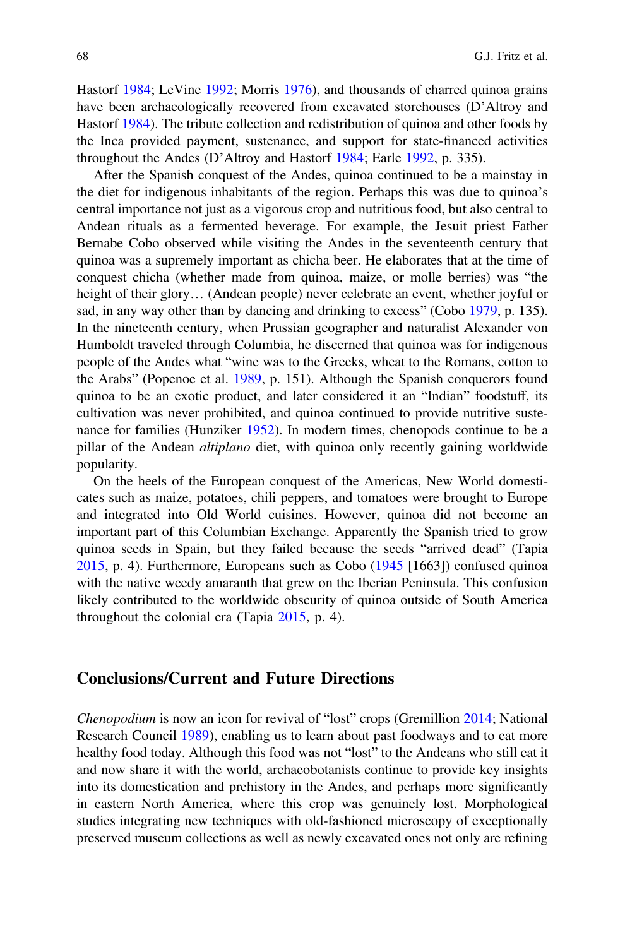Hastorf [1984](#page-16-0); LeVine [1992](#page-18-0); Morris [1976\)](#page-18-0), and thousands of charred quinoa grains have been archaeologically recovered from excavated storehouses (D'Altroy and Hastorf [1984\)](#page-16-0). The tribute collection and redistribution of quinoa and other foods by the Inca provided payment, sustenance, and support for state-financed activities throughout the Andes (D'Altroy and Hastorf [1984](#page-16-0); Earle [1992](#page-16-0), p. 335).

After the Spanish conquest of the Andes, quinoa continued to be a mainstay in the diet for indigenous inhabitants of the region. Perhaps this was due to quinoa's central importance not just as a vigorous crop and nutritious food, but also central to Andean rituals as a fermented beverage. For example, the Jesuit priest Father Bernabe Cobo observed while visiting the Andes in the seventeenth century that quinoa was a supremely important as chicha beer. He elaborates that at the time of conquest chicha (whether made from quinoa, maize, or molle berries) was "the height of their glory… (Andean people) never celebrate an event, whether joyful or sad, in any way other than by dancing and drinking to excess" (Cobo [1979,](#page-16-0) p. 135). In the nineteenth century, when Prussian geographer and naturalist Alexander von Humboldt traveled through Columbia, he discerned that quinoa was for indigenous people of the Andes what "wine was to the Greeks, wheat to the Romans, cotton to the Arabs" (Popenoe et al. [1989](#page-19-0), p. 151). Although the Spanish conquerors found quinoa to be an exotic product, and later considered it an "Indian" foodstuff, its cultivation was never prohibited, and quinoa continued to provide nutritive sustenance for families (Hunziker [1952](#page-17-0)). In modern times, chenopods continue to be a pillar of the Andean altiplano diet, with quinoa only recently gaining worldwide popularity.

On the heels of the European conquest of the Americas, New World domesticates such as maize, potatoes, chili peppers, and tomatoes were brought to Europe and integrated into Old World cuisines. However, quinoa did not become an important part of this Columbian Exchange. Apparently the Spanish tried to grow quinoa seeds in Spain, but they failed because the seeds "arrived dead" (Tapia [2015,](#page-20-0) p. 4). Furthermore, Europeans such as Cobo ([1945](#page-16-0) [1663]) confused quinoa with the native weedy amaranth that grew on the Iberian Peninsula. This confusion likely contributed to the worldwide obscurity of quinoa outside of South America throughout the colonial era (Tapia [2015](#page-20-0), p. 4).

#### Conclusions/Current and Future Directions

Chenopodium is now an icon for revival of "lost" crops (Gremillion [2014](#page-17-0); National Research Council [1989](#page-18-0)), enabling us to learn about past foodways and to eat more healthy food today. Although this food was not "lost" to the Andeans who still eat it and now share it with the world, archaeobotanists continue to provide key insights into its domestication and prehistory in the Andes, and perhaps more significantly in eastern North America, where this crop was genuinely lost. Morphological studies integrating new techniques with old-fashioned microscopy of exceptionally preserved museum collections as well as newly excavated ones not only are refining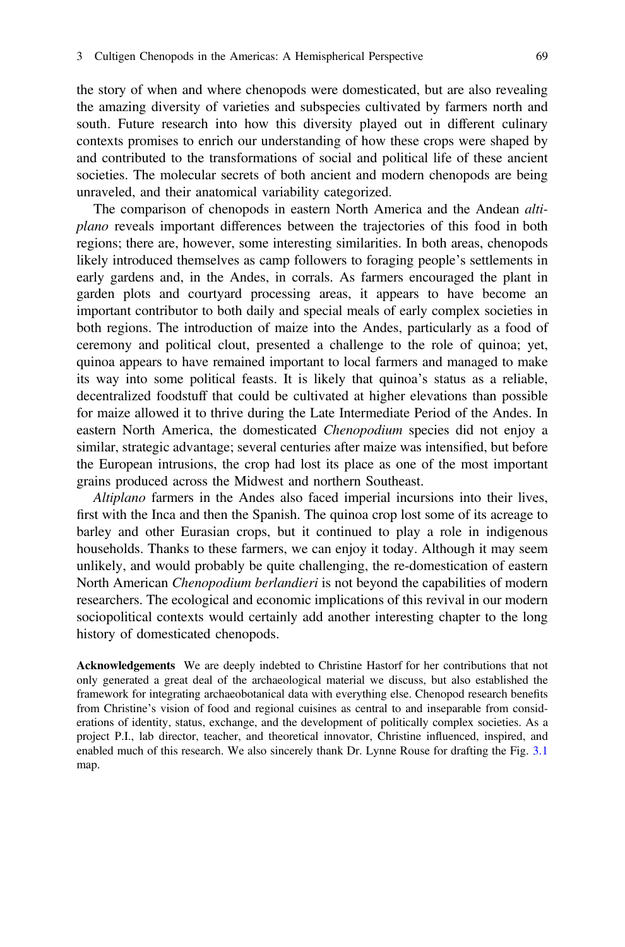the story of when and where chenopods were domesticated, but are also revealing the amazing diversity of varieties and subspecies cultivated by farmers north and south. Future research into how this diversity played out in different culinary contexts promises to enrich our understanding of how these crops were shaped by and contributed to the transformations of social and political life of these ancient societies. The molecular secrets of both ancient and modern chenopods are being unraveled, and their anatomical variability categorized.

The comparison of chenopods in eastern North America and the Andean altiplano reveals important differences between the trajectories of this food in both regions; there are, however, some interesting similarities. In both areas, chenopods likely introduced themselves as camp followers to foraging people's settlements in early gardens and, in the Andes, in corrals. As farmers encouraged the plant in garden plots and courtyard processing areas, it appears to have become an important contributor to both daily and special meals of early complex societies in both regions. The introduction of maize into the Andes, particularly as a food of ceremony and political clout, presented a challenge to the role of quinoa; yet, quinoa appears to have remained important to local farmers and managed to make its way into some political feasts. It is likely that quinoa's status as a reliable, decentralized foodstuff that could be cultivated at higher elevations than possible for maize allowed it to thrive during the Late Intermediate Period of the Andes. In eastern North America, the domesticated Chenopodium species did not enjoy a similar, strategic advantage; several centuries after maize was intensified, but before the European intrusions, the crop had lost its place as one of the most important grains produced across the Midwest and northern Southeast.

Altiplano farmers in the Andes also faced imperial incursions into their lives, first with the Inca and then the Spanish. The quinoa crop lost some of its acreage to barley and other Eurasian crops, but it continued to play a role in indigenous households. Thanks to these farmers, we can enjoy it today. Although it may seem unlikely, and would probably be quite challenging, the re-domestication of eastern North American Chenopodium berlandieri is not beyond the capabilities of modern researchers. The ecological and economic implications of this revival in our modern sociopolitical contexts would certainly add another interesting chapter to the long history of domesticated chenopods.

Acknowledgements We are deeply indebted to Christine Hastorf for her contributions that not only generated a great deal of the archaeological material we discuss, but also established the framework for integrating archaeobotanical data with everything else. Chenopod research benefits from Christine's vision of food and regional cuisines as central to and inseparable from considerations of identity, status, exchange, and the development of politically complex societies. As a project P.I., lab director, teacher, and theoretical innovator, Christine influenced, inspired, and enabled much of this research. We also sincerely thank Dr. Lynne Rouse for drafting the Fig. [3.1](#page-2-0) map.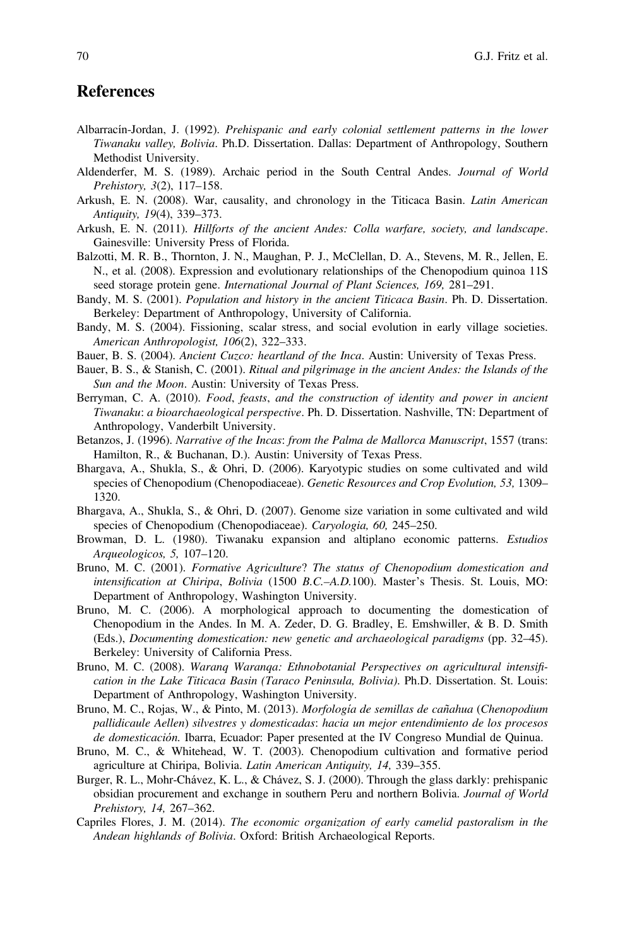# <span id="page-15-0"></span>References

- Albarracín-Jordan, J. (1992). Prehispanic and early colonial settlement patterns in the lower Tiwanaku valley, Bolivia. Ph.D. Dissertation. Dallas: Department of Anthropology, Southern Methodist University.
- Aldenderfer, M. S. (1989). Archaic period in the South Central Andes. Journal of World Prehistory, 3(2), 117–158.
- Arkush, E. N. (2008). War, causality, and chronology in the Titicaca Basin. Latin American Antiquity, 19(4), 339–373.
- Arkush, E. N. (2011). Hillforts of the ancient Andes: Colla warfare, society, and landscape. Gainesville: University Press of Florida.
- Balzotti, M. R. B., Thornton, J. N., Maughan, P. J., McClellan, D. A., Stevens, M. R., Jellen, E. N., et al. (2008). Expression and evolutionary relationships of the Chenopodium quinoa 11S seed storage protein gene. International Journal of Plant Sciences, 169, 281-291.
- Bandy, M. S. (2001). Population and history in the ancient Titicaca Basin. Ph. D. Dissertation. Berkeley: Department of Anthropology, University of California.
- Bandy, M. S. (2004). Fissioning, scalar stress, and social evolution in early village societies. American Anthropologist, 106(2), 322–333.
- Bauer, B. S. (2004). Ancient Cuzco: heartland of the Inca. Austin: University of Texas Press.
- Bauer, B. S., & Stanish, C. (2001). Ritual and pilgrimage in the ancient Andes: the Islands of the Sun and the Moon. Austin: University of Texas Press.
- Berryman, C. A. (2010). Food, feasts, and the construction of identity and power in ancient Tiwanaku: a bioarchaeological perspective. Ph. D. Dissertation. Nashville, TN: Department of Anthropology, Vanderbilt University.
- Betanzos, J. (1996). Narrative of the Incas: from the Palma de Mallorca Manuscript, 1557 (trans: Hamilton, R., & Buchanan, D.). Austin: University of Texas Press.
- Bhargava, A., Shukla, S., & Ohri, D. (2006). Karyotypic studies on some cultivated and wild species of Chenopodium (Chenopodiaceae). Genetic Resources and Crop Evolution, 53, 1309-1320.
- Bhargava, A., Shukla, S., & Ohri, D. (2007). Genome size variation in some cultivated and wild species of Chenopodium (Chenopodiaceae). Caryologia, 60, 245-250.
- Browman, D. L. (1980). Tiwanaku expansion and altiplano economic patterns. Estudios Arqueologicos, 5, 107–120.
- Bruno, M. C. (2001). Formative Agriculture? The status of Chenopodium domestication and intensification at Chiripa, Bolivia (1500 B.C.–A.D.100). Master's Thesis. St. Louis, MO: Department of Anthropology, Washington University.
- Bruno, M. C. (2006). A morphological approach to documenting the domestication of Chenopodium in the Andes. In M. A. Zeder, D. G. Bradley, E. Emshwiller, & B. D. Smith (Eds.), Documenting domestication: new genetic and archaeological paradigms (pp. 32–45). Berkeley: University of California Press.
- Bruno, M. C. (2008). Waranq Waranqa: Ethnobotanial Perspectives on agricultural intensification in the Lake Titicaca Basin (Taraco Peninsula, Bolivia). Ph.D. Dissertation. St. Louis: Department of Anthropology, Washington University.
- Bruno, M. C., Rojas, W., & Pinto, M. (2013). Morfología de semillas de cañahua (Chenopodium pallidicaule Aellen) silvestres y domesticadas: hacia un mejor entendimiento de los procesos de domesticación. Ibarra, Ecuador: Paper presented at the IV Congreso Mundial de Quinua.
- Bruno, M. C., & Whitehead, W. T. (2003). Chenopodium cultivation and formative period agriculture at Chiripa, Bolivia. Latin American Antiquity, 14, 339–355.
- Burger, R. L., Mohr-Chávez, K. L., & Chávez, S. J. (2000). Through the glass darkly: prehispanic obsidian procurement and exchange in southern Peru and northern Bolivia. Journal of World Prehistory, 14, 267–362.
- Capriles Flores, J. M. (2014). The economic organization of early camelid pastoralism in the Andean highlands of Bolivia. Oxford: British Archaeological Reports.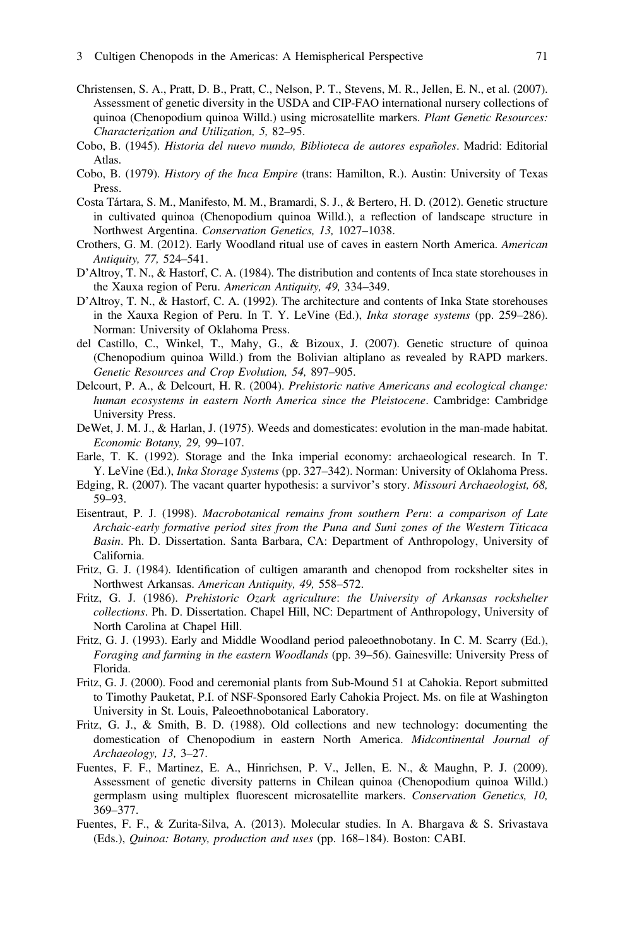- <span id="page-16-0"></span>Christensen, S. A., Pratt, D. B., Pratt, C., Nelson, P. T., Stevens, M. R., Jellen, E. N., et al. (2007). Assessment of genetic diversity in the USDA and CIP-FAO international nursery collections of quinoa (Chenopodium quinoa Willd.) using microsatellite markers. Plant Genetic Resources: Characterization and Utilization, 5, 82–95.
- Cobo, B. (1945). Historia del nuevo mundo, Biblioteca de autores españoles. Madrid: Editorial Atlas.
- Cobo, B. (1979). History of the Inca Empire (trans: Hamilton, R.). Austin: University of Texas Press.
- Costa Tártara, S. M., Manifesto, M. M., Bramardi, S. J., & Bertero, H. D. (2012). Genetic structure in cultivated quinoa (Chenopodium quinoa Willd.), a reflection of landscape structure in Northwest Argentina. Conservation Genetics, 13, 1027–1038.
- Crothers, G. M. (2012). Early Woodland ritual use of caves in eastern North America. American Antiquity, 77, 524–541.
- D'Altroy, T. N., & Hastorf, C. A. (1984). The distribution and contents of Inca state storehouses in the Xauxa region of Peru. American Antiquity, 49, 334–349.
- D'Altroy, T. N., & Hastorf, C. A. (1992). The architecture and contents of Inka State storehouses in the Xauxa Region of Peru. In T. Y. LeVine (Ed.), Inka storage systems (pp. 259–286). Norman: University of Oklahoma Press.
- del Castillo, C., Winkel, T., Mahy, G., & Bizoux, J. (2007). Genetic structure of quinoa (Chenopodium quinoa Willd.) from the Bolivian altiplano as revealed by RAPD markers. Genetic Resources and Crop Evolution, 54, 897–905.
- Delcourt, P. A., & Delcourt, H. R. (2004). Prehistoric native Americans and ecological change: human ecosystems in eastern North America since the Pleistocene. Cambridge: Cambridge University Press.
- DeWet, J. M. J., & Harlan, J. (1975). Weeds and domesticates: evolution in the man-made habitat. Economic Botany, 29, 99–107.
- Earle, T. K. (1992). Storage and the Inka imperial economy: archaeological research. In T. Y. LeVine (Ed.), Inka Storage Systems (pp. 327–342). Norman: University of Oklahoma Press.
- Edging, R. (2007). The vacant quarter hypothesis: a survivor's story. Missouri Archaeologist, 68, 59–93.
- Eisentraut, P. J. (1998). Macrobotanical remains from southern Peru: a comparison of Late Archaic-early formative period sites from the Puna and Suni zones of the Western Titicaca Basin. Ph. D. Dissertation. Santa Barbara, CA: Department of Anthropology, University of California.
- Fritz, G. J. (1984). Identification of cultigen amaranth and chenopod from rockshelter sites in Northwest Arkansas. American Antiquity, 49, 558–572.
- Fritz, G. J. (1986). Prehistoric Ozark agriculture: the University of Arkansas rockshelter collections. Ph. D. Dissertation. Chapel Hill, NC: Department of Anthropology, University of North Carolina at Chapel Hill.
- Fritz, G. J. (1993). Early and Middle Woodland period paleoethnobotany. In C. M. Scarry (Ed.), Foraging and farming in the eastern Woodlands (pp. 39–56). Gainesville: University Press of Florida.
- Fritz, G. J. (2000). Food and ceremonial plants from Sub-Mound 51 at Cahokia. Report submitted to Timothy Pauketat, P.I. of NSF-Sponsored Early Cahokia Project. Ms. on file at Washington University in St. Louis, Paleoethnobotanical Laboratory.
- Fritz, G. J., & Smith, B. D. (1988). Old collections and new technology: documenting the domestication of Chenopodium in eastern North America. Midcontinental Journal of Archaeology, 13, 3–27.
- Fuentes, F. F., Martinez, E. A., Hinrichsen, P. V., Jellen, E. N., & Maughn, P. J. (2009). Assessment of genetic diversity patterns in Chilean quinoa (Chenopodium quinoa Willd.) germplasm using multiplex fluorescent microsatellite markers. Conservation Genetics, 10, 369–377.
- Fuentes, F. F., & Zurita-Silva, A. (2013). Molecular studies. In A. Bhargava & S. Srivastava (Eds.), Quinoa: Botany, production and uses (pp. 168–184). Boston: CABI.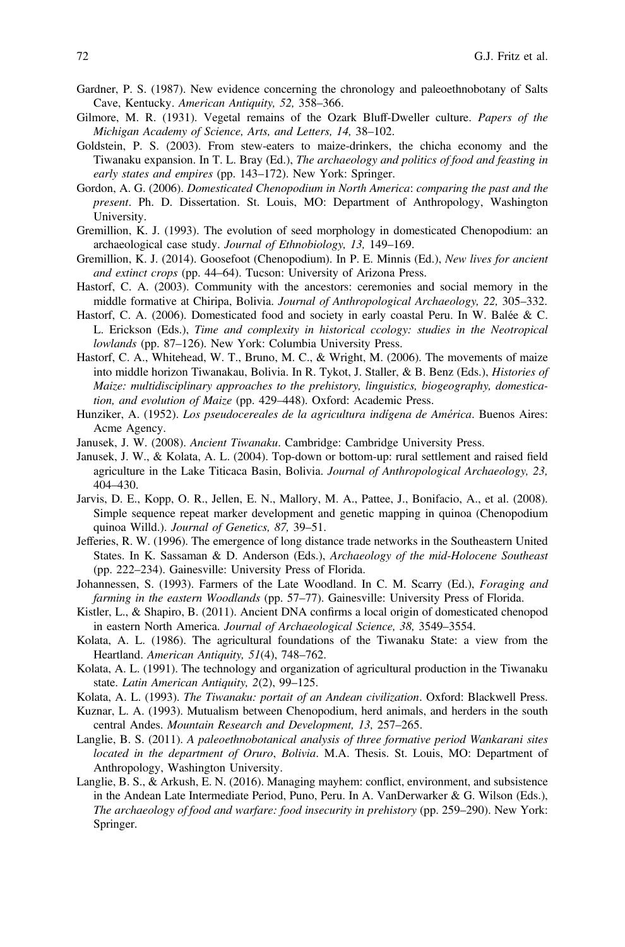- <span id="page-17-0"></span>Gardner, P. S. (1987). New evidence concerning the chronology and paleoethnobotany of Salts Cave, Kentucky. American Antiquity, 52, 358–366.
- Gilmore, M. R. (1931). Vegetal remains of the Ozark Bluff-Dweller culture. Papers of the Michigan Academy of Science, Arts, and Letters, 14, 38–102.
- Goldstein, P. S. (2003). From stew-eaters to maize-drinkers, the chicha economy and the Tiwanaku expansion. In T. L. Bray (Ed.), The archaeology and politics of food and feasting in early states and empires (pp. 143–172). New York: Springer.
- Gordon, A. G. (2006). Domesticated Chenopodium in North America: comparing the past and the present. Ph. D. Dissertation. St. Louis, MO: Department of Anthropology, Washington University.
- Gremillion, K. J. (1993). The evolution of seed morphology in domesticated Chenopodium: an archaeological case study. Journal of Ethnobiology, 13, 149–169.
- Gremillion, K. J. (2014). Goosefoot (Chenopodium). In P. E. Minnis (Ed.), New lives for ancient and extinct crops (pp. 44–64). Tucson: University of Arizona Press.
- Hastorf, C. A. (2003). Community with the ancestors: ceremonies and social memory in the middle formative at Chiripa, Bolivia. Journal of Anthropological Archaeology, 22, 305–332.
- Hastorf, C. A. (2006). Domesticated food and society in early coastal Peru. In W. Balée & C. L. Erickson (Eds.), Time and complexity in historical ccology: studies in the Neotropical lowlands (pp. 87-126). New York: Columbia University Press.
- Hastorf, C. A., Whitehead, W. T., Bruno, M. C., & Wright, M. (2006). The movements of maize into middle horizon Tiwanakau, Bolivia. In R. Tykot, J. Staller, & B. Benz (Eds.), Histories of Maize: multidisciplinary approaches to the prehistory, linguistics, biogeography, domestication, and evolution of Maize (pp. 429–448). Oxford: Academic Press.
- Hunziker, A. (1952). Los pseudocereales de la agricultura indígena de América. Buenos Aires: Acme Agency.
- Janusek, J. W. (2008). Ancient Tiwanaku. Cambridge: Cambridge University Press.
- Janusek, J. W., & Kolata, A. L. (2004). Top-down or bottom-up: rural settlement and raised field agriculture in the Lake Titicaca Basin, Bolivia. Journal of Anthropological Archaeology, 23, 404–430.
- Jarvis, D. E., Kopp, O. R., Jellen, E. N., Mallory, M. A., Pattee, J., Bonifacio, A., et al. (2008). Simple sequence repeat marker development and genetic mapping in quinoa (Chenopodium quinoa Willd.). Journal of Genetics, 87, 39–51.
- Jefferies, R. W. (1996). The emergence of long distance trade networks in the Southeastern United States. In K. Sassaman & D. Anderson (Eds.), Archaeology of the mid-Holocene Southeast (pp. 222–234). Gainesville: University Press of Florida.
- Johannessen, S. (1993). Farmers of the Late Woodland. In C. M. Scarry (Ed.), Foraging and farming in the eastern Woodlands (pp. 57–77). Gainesville: University Press of Florida.
- Kistler, L., & Shapiro, B. (2011). Ancient DNA confirms a local origin of domesticated chenopod in eastern North America. Journal of Archaeological Science, 38, 3549-3554.
- Kolata, A. L. (1986). The agricultural foundations of the Tiwanaku State: a view from the Heartland. American Antiquity, 51(4), 748–762.
- Kolata, A. L. (1991). The technology and organization of agricultural production in the Tiwanaku state. Latin American Antiquity, 2(2), 99–125.
- Kolata, A. L. (1993). The Tiwanaku: portait of an Andean civilization. Oxford: Blackwell Press.
- Kuznar, L. A. (1993). Mutualism between Chenopodium, herd animals, and herders in the south central Andes. Mountain Research and Development, 13, 257–265.
- Langlie, B. S. (2011). A paleoethnobotanical analysis of three formative period Wankarani sites located in the department of Oruro, Bolivia. M.A. Thesis. St. Louis, MO: Department of Anthropology, Washington University.
- Langlie, B. S., & Arkush, E. N. (2016). Managing mayhem: conflict, environment, and subsistence in the Andean Late Intermediate Period, Puno, Peru. In A. VanDerwarker & G. Wilson (Eds.), The archaeology of food and warfare: food insecurity in prehistory (pp. 259–290). New York: Springer.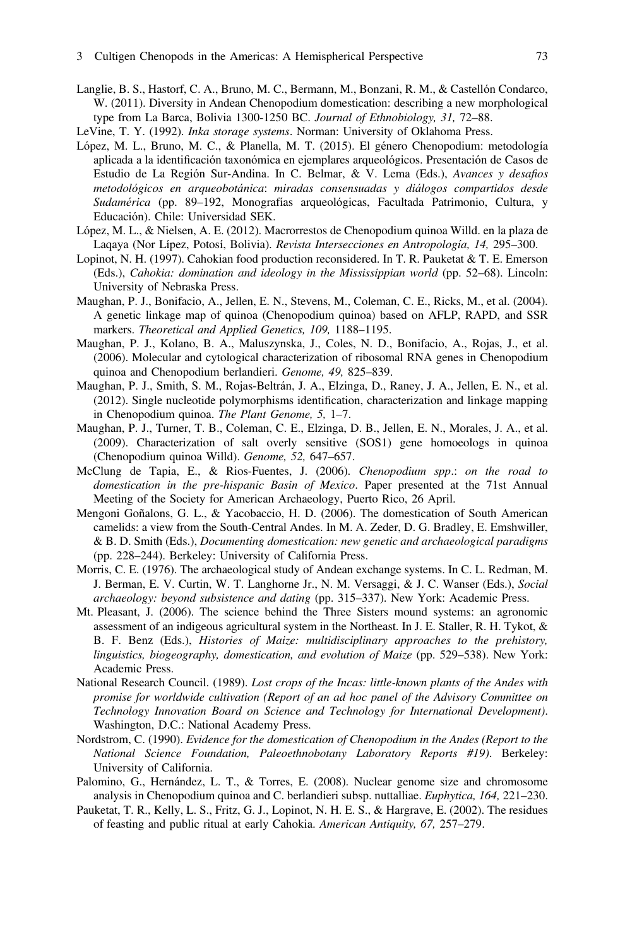- <span id="page-18-0"></span>Langlie, B. S., Hastorf, C. A., Bruno, M. C., Bermann, M., Bonzani, R. M., & Castellón Condarco, W. (2011). Diversity in Andean Chenopodium domestication: describing a new morphological type from La Barca, Bolivia 1300-1250 BC. Journal of Ethnobiology, 31, 72-88.
- LeVine, T. Y. (1992). Inka storage systems. Norman: University of Oklahoma Press.
- López, M. L., Bruno, M. C., & Planella, M. T. (2015). El género Chenopodium: metodología aplicada a la identificación taxonómica en ejemplares arqueológicos. Presentación de Casos de Estudio de La Región Sur-Andina. In C. Belmar, & V. Lema (Eds.), Avances y desafios metodológicos en arqueobotánica: miradas consensuadas y diálogos compartidos desde Sudamérica (pp. 89–192, Monografías arqueológicas, Facultada Patrimonio, Cultura, y Educación). Chile: Universidad SEK.
- López, M. L., & Nielsen, A. E. (2012). Macrorrestos de Chenopodium quinoa Willd. en la plaza de Laqaya (Nor Lípez, Potosí, Bolivia). Revista Intersecciones en Antropología, 14, 295–300.
- Lopinot, N. H. (1997). Cahokian food production reconsidered. In T. R. Pauketat & T. E. Emerson (Eds.), Cahokia: domination and ideology in the Mississippian world (pp. 52–68). Lincoln: University of Nebraska Press.
- Maughan, P. J., Bonifacio, A., Jellen, E. N., Stevens, M., Coleman, C. E., Ricks, M., et al. (2004). A genetic linkage map of quinoa (Chenopodium quinoa) based on AFLP, RAPD, and SSR markers. Theoretical and Applied Genetics, 109, 1188–1195.
- Maughan, P. J., Kolano, B. A., Maluszynska, J., Coles, N. D., Bonifacio, A., Rojas, J., et al. (2006). Molecular and cytological characterization of ribosomal RNA genes in Chenopodium quinoa and Chenopodium berlandieri. Genome, 49, 825–839.
- Maughan, P. J., Smith, S. M., Rojas-Beltrán, J. A., Elzinga, D., Raney, J. A., Jellen, E. N., et al. (2012). Single nucleotide polymorphisms identification, characterization and linkage mapping in Chenopodium quinoa. The Plant Genome, 5, 1–7.
- Maughan, P. J., Turner, T. B., Coleman, C. E., Elzinga, D. B., Jellen, E. N., Morales, J. A., et al. (2009). Characterization of salt overly sensitive (SOS1) gene homoeologs in quinoa (Chenopodium quinoa Willd). Genome, 52, 647–657.
- McClung de Tapia, E., & Rios-Fuentes, J. (2006). Chenopodium spp.: on the road to domestication in the pre-hispanic Basin of Mexico. Paper presented at the 71st Annual Meeting of the Society for American Archaeology, Puerto Rico, 26 April.
- Mengoni Goñalons, G. L., & Yacobaccio, H. D. (2006). The domestication of South American camelids: a view from the South-Central Andes. In M. A. Zeder, D. G. Bradley, E. Emshwiller, & B. D. Smith (Eds.), Documenting domestication: new genetic and archaeological paradigms (pp. 228–244). Berkeley: University of California Press.
- Morris, C. E. (1976). The archaeological study of Andean exchange systems. In C. L. Redman, M. J. Berman, E. V. Curtin, W. T. Langhorne Jr., N. M. Versaggi, & J. C. Wanser (Eds.), Social archaeology: beyond subsistence and dating (pp. 315–337). New York: Academic Press.
- Mt. Pleasant, J. (2006). The science behind the Three Sisters mound systems: an agronomic assessment of an indigeous agricultural system in the Northeast. In J. E. Staller, R. H. Tykot, & B. F. Benz (Eds.), Histories of Maize: multidisciplinary approaches to the prehistory, linguistics, biogeography, domestication, and evolution of Maize (pp. 529–538). New York: Academic Press.
- National Research Council. (1989). Lost crops of the Incas: little-known plants of the Andes with promise for worldwide cultivation (Report of an ad hoc panel of the Advisory Committee on Technology Innovation Board on Science and Technology for International Development). Washington, D.C.: National Academy Press.
- Nordstrom, C. (1990). Evidence for the domestication of Chenopodium in the Andes (Report to the National Science Foundation, Paleoethnobotany Laboratory Reports #19). Berkeley: University of California.
- Palomino, G., Hernández, L. T., & Torres, E. (2008). Nuclear genome size and chromosome analysis in Chenopodium quinoa and C. berlandieri subsp. nuttalliae. Euphytica, 164, 221–230.
- Pauketat, T. R., Kelly, L. S., Fritz, G. J., Lopinot, N. H. E. S., & Hargrave, E. (2002). The residues of feasting and public ritual at early Cahokia. American Antiquity, 67, 257–279.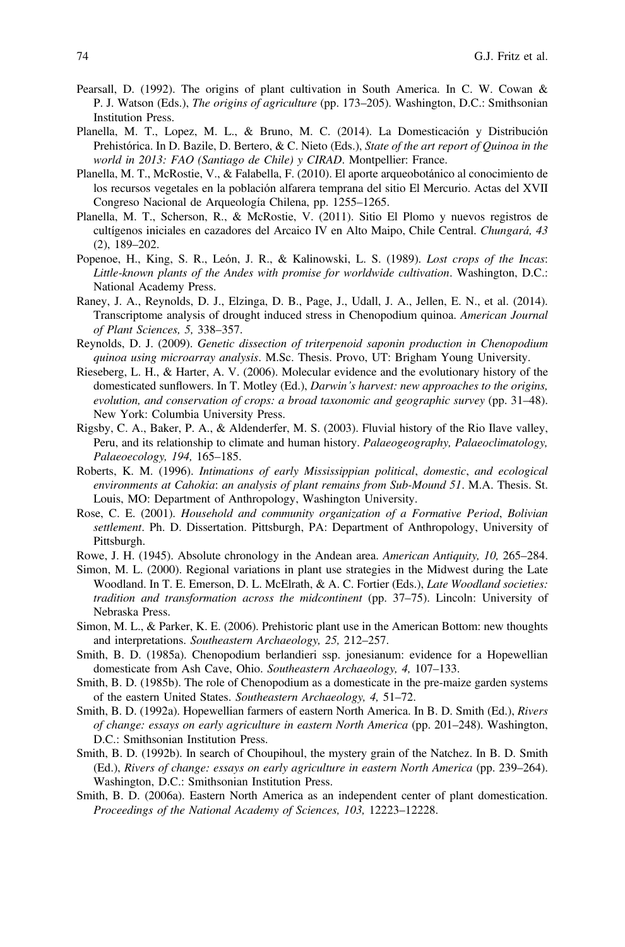- <span id="page-19-0"></span>Pearsall, D. (1992). The origins of plant cultivation in South America. In C. W. Cowan & P. J. Watson (Eds.), The origins of agriculture (pp. 173–205). Washington, D.C.: Smithsonian Institution Press.
- Planella, M. T., Lopez, M. L., & Bruno, M. C. (2014). La Domesticación y Distribución Prehistórica. In D. Bazile, D. Bertero, & C. Nieto (Eds.), State of the art report of Quinoa in the world in 2013: FAO (Santiago de Chile) y CIRAD. Montpellier: France.
- Planella, M. T., McRostie, V., & Falabella, F. (2010). El aporte arqueobotánico al conocimiento de los recursos vegetales en la población alfarera temprana del sitio El Mercurio. Actas del XVII Congreso Nacional de Arqueología Chilena, pp. 1255–1265.
- Planella, M. T., Scherson, R., & McRostie, V. (2011). Sitio El Plomo y nuevos registros de cultígenos iniciales en cazadores del Arcaico IV en Alto Maipo, Chile Central. Chungará, 43 (2), 189–202.
- Popenoe, H., King, S. R., León, J. R., & Kalinowski, L. S. (1989). Lost crops of the Incas: Little-known plants of the Andes with promise for worldwide cultivation. Washington, D.C.: National Academy Press.
- Raney, J. A., Reynolds, D. J., Elzinga, D. B., Page, J., Udall, J. A., Jellen, E. N., et al. (2014). Transcriptome analysis of drought induced stress in Chenopodium quinoa. American Journal of Plant Sciences, 5, 338–357.
- Reynolds, D. J. (2009). Genetic dissection of triterpenoid saponin production in Chenopodium quinoa using microarray analysis. M.Sc. Thesis. Provo, UT: Brigham Young University.
- Rieseberg, L. H., & Harter, A. V. (2006). Molecular evidence and the evolutionary history of the domesticated sunflowers. In T. Motley (Ed.), Darwin's harvest: new approaches to the origins, evolution, and conservation of crops: a broad taxonomic and geographic survey (pp. 31–48). New York: Columbia University Press.
- Rigsby, C. A., Baker, P. A., & Aldenderfer, M. S. (2003). Fluvial history of the Rio Ilave valley, Peru, and its relationship to climate and human history. Palaeogeography, Palaeoclimatology, Palaeoecology, 194, 165–185.
- Roberts, K. M. (1996). Intimations of early Mississippian political, domestic, and ecological environments at Cahokia: an analysis of plant remains from Sub-Mound 51. M.A. Thesis. St. Louis, MO: Department of Anthropology, Washington University.
- Rose, C. E. (2001). Household and community organization of a Formative Period, Bolivian settlement. Ph. D. Dissertation. Pittsburgh, PA: Department of Anthropology, University of Pittsburgh.
- Rowe, J. H. (1945). Absolute chronology in the Andean area. American Antiquity, 10, 265–284.
- Simon, M. L. (2000). Regional variations in plant use strategies in the Midwest during the Late Woodland. In T. E. Emerson, D. L. McElrath, & A. C. Fortier (Eds.), Late Woodland societies: tradition and transformation across the midcontinent (pp. 37–75). Lincoln: University of Nebraska Press.
- Simon, M. L., & Parker, K. E. (2006). Prehistoric plant use in the American Bottom: new thoughts and interpretations. Southeastern Archaeology, 25, 212–257.
- Smith, B. D. (1985a). Chenopodium berlandieri ssp. jonesianum: evidence for a Hopewellian domesticate from Ash Cave, Ohio. Southeastern Archaeology, 4, 107–133.
- Smith, B. D. (1985b). The role of Chenopodium as a domesticate in the pre-maize garden systems of the eastern United States. Southeastern Archaeology, 4, 51–72.
- Smith, B. D. (1992a). Hopewellian farmers of eastern North America. In B. D. Smith (Ed.), Rivers of change: essays on early agriculture in eastern North America (pp. 201–248). Washington, D.C.: Smithsonian Institution Press.
- Smith, B. D. (1992b). In search of Choupihoul, the mystery grain of the Natchez. In B. D. Smith (Ed.), Rivers of change: essays on early agriculture in eastern North America (pp. 239–264). Washington, D.C.: Smithsonian Institution Press.
- Smith, B. D. (2006a). Eastern North America as an independent center of plant domestication. Proceedings of the National Academy of Sciences, 103, 12223–12228.